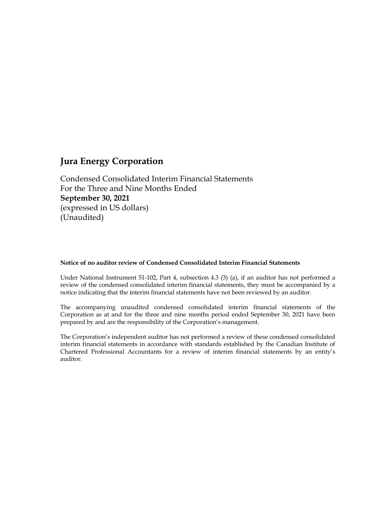Condensed Consolidated Interim Financial Statements For the Three and Nine Months Ended **September 30, 2021** (expressed in US dollars) (Unaudited)

#### **Notice of no auditor review of Condensed Consolidated Interim Financial Statements**

Under National Instrument 51-102, Part 4, subsection 4.3 (3) (a), if an auditor has not performed a review of the condensed consolidated interim financial statements, they must be accompanied by a notice indicating that the interim financial statements have not been reviewed by an auditor.

The accompanying unaudited condensed consolidated interim financial statements of the Corporation as at and for the three and nine months period ended September 30, 2021 have been prepared by and are the responsibility of the Corporation's management.

The Corporation's independent auditor has not performed a review of these condensed consolidated interim financial statements in accordance with standards established by the Canadian Institute of Chartered Professional Accountants for a review of interim financial statements by an entity's auditor.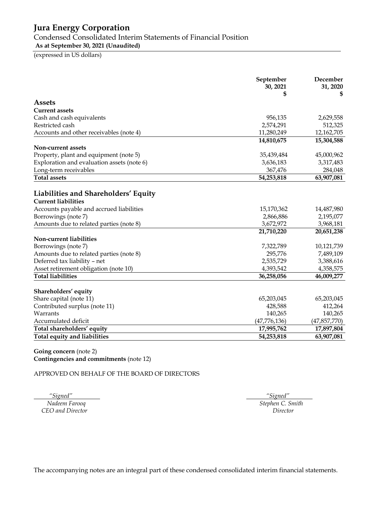Condensed Consolidated Interim Statements of Financial Position

**As at September 30, 2021 (Unaudited)**

(expressed in US dollars)

|                                                                                                                                                                                                                                    | September<br>30, 2021<br>\$                                     | December<br>31, 2020<br>S                                        |
|------------------------------------------------------------------------------------------------------------------------------------------------------------------------------------------------------------------------------------|-----------------------------------------------------------------|------------------------------------------------------------------|
| <b>Assets</b>                                                                                                                                                                                                                      |                                                                 |                                                                  |
| <b>Current assets</b>                                                                                                                                                                                                              |                                                                 |                                                                  |
| Cash and cash equivalents                                                                                                                                                                                                          | 956,135                                                         | 2,629,558                                                        |
| Restricted cash                                                                                                                                                                                                                    | 2,574,291                                                       | 512,325                                                          |
| Accounts and other receivables (note 4)                                                                                                                                                                                            | 11,280,249                                                      | 12,162,705                                                       |
|                                                                                                                                                                                                                                    | 14,810,675                                                      | 15,304,588                                                       |
| Non-current assets                                                                                                                                                                                                                 |                                                                 |                                                                  |
| Property, plant and equipment (note 5)                                                                                                                                                                                             | 35,439,484                                                      | 45,000,962                                                       |
| Exploration and evaluation assets (note 6)                                                                                                                                                                                         | 3,636,183                                                       | 3,317,483                                                        |
| Long-term receivables                                                                                                                                                                                                              | 367,476                                                         | 284,048                                                          |
| <b>Total assets</b>                                                                                                                                                                                                                | 54,253,818                                                      | 63,907,081                                                       |
| Liabilities and Shareholders' Equity<br><b>Current liabilities</b><br>Accounts payable and accrued liabilities<br>Borrowings (note 7)<br>Amounts due to related parties (note 8)<br>Non-current liabilities<br>Borrowings (note 7) | 15,170,362<br>2,866,886<br>3,672,972<br>21,710,220<br>7,322,789 | 14,487,980<br>2,195,077<br>3,968,181<br>20,651,238<br>10,121,739 |
| Amounts due to related parties (note 8)                                                                                                                                                                                            | 295,776                                                         | 7,489,109                                                        |
| Deferred tax liability - net                                                                                                                                                                                                       | 2,535,729                                                       | 3,388,616                                                        |
| Asset retirement obligation (note 10)                                                                                                                                                                                              | 4,393,542                                                       | 4,358,575                                                        |
| <b>Total liabilities</b>                                                                                                                                                                                                           | 36,258,056                                                      | 46,009,277                                                       |
| Shareholders' equity                                                                                                                                                                                                               |                                                                 |                                                                  |
| Share capital (note 11)                                                                                                                                                                                                            | 65,203,045                                                      | 65,203,045                                                       |
| Contributed surplus (note 11)<br>Warrants                                                                                                                                                                                          | 428,588<br>140,265                                              | 412,264<br>140,265                                               |
| Accumulated deficit                                                                                                                                                                                                                | (47, 776, 136)                                                  | (47, 857, 770)                                                   |
| Total shareholders' equity                                                                                                                                                                                                         | 17,995,762                                                      | 17,897,804                                                       |
| Total equity and liabilities                                                                                                                                                                                                       | 54,253,818                                                      | 63,907,081                                                       |
|                                                                                                                                                                                                                                    |                                                                 |                                                                  |

**Going concern** (note 2) **Contingencies and commitments** (note 12)

APPROVED ON BEHALF OF THE BOARD OF DIRECTORS

 *"Signed" "Signed" CEO and Director Director*

*Nadeem Farooq Stephen C. Smith*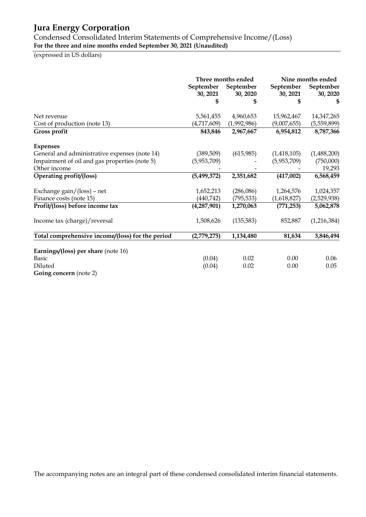Condensed Consolidated Interim Statements of Comprehensive Income/(Loss) **For the three and nine months ended September 30, 2021 (Unaudited)**

(expressed in US dollars)

|                                                  | Three months ended<br>September<br>September<br>30, 2021<br>30, 2020 |             | September<br>30, 2021 | Nine months ended<br>September<br>30, 2020 |  |
|--------------------------------------------------|----------------------------------------------------------------------|-------------|-----------------------|--------------------------------------------|--|
|                                                  | \$                                                                   | \$          | S                     | \$                                         |  |
| Net revenue                                      | 5,561,455                                                            | 4,960,653   | 15,962,467            | 14,347,265                                 |  |
| Cost of production (note 13)                     | (4,717,609)                                                          | (1,992,986) | (9,007,655)           | (5,559,899)                                |  |
| Gross profit                                     | 843,846                                                              | 2,967,667   | 6,954,812             | 8,787,366                                  |  |
| <b>Expenses</b>                                  |                                                                      |             |                       |                                            |  |
| General and administrative expenses (note 14)    | (389,509)                                                            | (615,985)   | (1,418,105)           | (1,488,200)                                |  |
| Impairment of oil and gas properties (note 5)    | (5,953,709)                                                          |             | (5,953,709)           | (750,000)                                  |  |
| Other income                                     |                                                                      |             |                       | 19,293                                     |  |
| Operating profit/(loss)                          | (5,499,372)                                                          | 2,351,682   | (417,002)             | 6,568,459                                  |  |
| Exchange $gain/$ (loss) – net                    | 1,652,213                                                            | (286,086)   | 1,264,576             | 1,024,357                                  |  |
| Finance costs (note 15)                          | (440, 742)                                                           | (795, 533)  | (1,618,827)           | (2,529,938)                                |  |
| Profit/(loss) before income tax                  | (4,287,901)                                                          | 1,270,063   | (771, 253)            | 5,062,878                                  |  |
| Income tax (charge)/reversal                     | 1,508,626                                                            | (135, 583)  | 852,887               | (1,216,384)                                |  |
| Total comprehensive income/(loss) for the period | (2,779,275)                                                          | 1,134,480   | 81,634                | 3,846,494                                  |  |
| Earnings/(loss) per share (note 16)              |                                                                      |             |                       |                                            |  |
| <b>Basic</b>                                     | (0.04)                                                               | 0.02        | 0.00                  | 0.06                                       |  |
| Diluted                                          | (0.04)                                                               | 0.02        | 0.00                  | 0.05                                       |  |
| <b>Going concern</b> (note 2)                    |                                                                      |             |                       |                                            |  |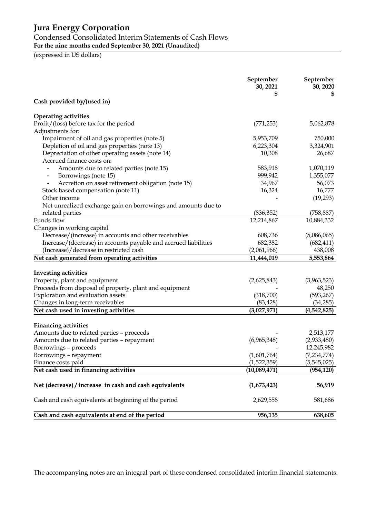### Condensed Consolidated Interim Statements of Cash Flows

**For the nine months ended September 30, 2021 (Unaudited)**

(expressed in US dollars)

|                                                                 | September<br>30, 2021 | September<br>30, 2020 |
|-----------------------------------------------------------------|-----------------------|-----------------------|
| Cash provided by/(used in)                                      |                       |                       |
| <b>Operating activities</b>                                     |                       |                       |
| Profit/(loss) before tax for the period                         | (771, 253)            | 5,062,878             |
| Adjustments for:                                                |                       |                       |
| Impairment of oil and gas properties (note 5)                   | 5,953,709             | 750,000               |
| Depletion of oil and gas properties (note 13)                   | 6,223,304             | 3,324,901             |
| Depreciation of other operating assets (note 14)                | 10,308                | 26,687                |
| Accrued finance costs on:                                       |                       |                       |
| Amounts due to related parties (note 15)                        | 583,918               | 1,070,119             |
| Borrowings (note 15)<br>$\qquad \qquad \blacksquare$            | 999,942               | 1,355,077             |
| Accretion on asset retirement obligation (note 15)              | 34,967                | 56,073                |
| Stock based compensation (note 11)                              | 16,324                | 16,777                |
| Other income                                                    |                       | (19,293)              |
| Net unrealized exchange gain on borrowings and amounts due to   |                       |                       |
| related parties                                                 | (836, 352)            | (758, 887)            |
| Funds flow                                                      | 12,214,867            | 10,884,332            |
| Changes in working capital                                      |                       |                       |
| Decrease/(increase) in accounts and other receivables           | 608,736               | (5,086,065)           |
| Increase/(decrease) in accounts payable and accrued liabilities | 682,382               | (682, 411)            |
| (Increase)/decrease in restricted cash                          | (2,061,966)           | 438,008               |
| Net cash generated from operating activities                    | 11,444,019            | 5,553,864             |
|                                                                 |                       |                       |
| <b>Investing activities</b>                                     |                       |                       |
| Property, plant and equipment                                   | (2,625,843)           | (3,963,523)           |
| Proceeds from disposal of property, plant and equipment         |                       | 48,250                |
| Exploration and evaluation assets                               | (318,700)             | (593, 267)            |
| Changes in long-term receivables                                | (83, 428)             | (34, 285)             |
| Net cash used in investing activities                           | (3,027,971)           | (4,542,825)           |
|                                                                 |                       |                       |
| <b>Financing activities</b>                                     |                       |                       |
| Amounts due to related parties - proceeds                       |                       | 2,513,177             |
| Amounts due to related parties - repayment                      | (6,965,348)           | (2,933,480)           |
| Borrowings – proceeds                                           |                       | 12,245,982            |
| Borrowings - repayment                                          | (1,601,764)           | (7,234,774)           |
| Finance costs paid                                              | (1,522,359)           | (5,545,025)           |
| Net cash used in financing activities                           | (10,089,471)          | (954, 120)            |
| Net (decrease) / increase in cash and cash equivalents          | (1,673,423)           | 56,919                |
| Cash and cash equivalents at beginning of the period            | 2,629,558             | 581,686               |
| Cash and cash equivalents at end of the period                  | 956,135               | 638,605               |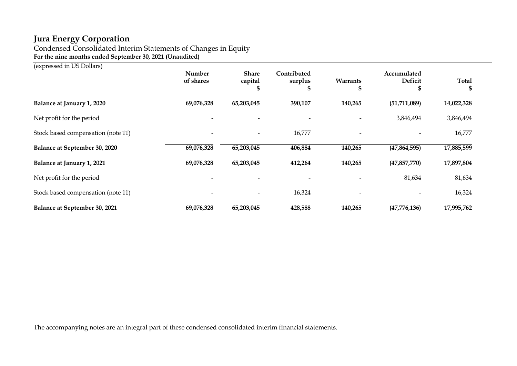Condensed Consolidated Interim Statements of Changes in Equity **For the nine months ended September 30, 2021 (Unaudited)**

(expressed in US Dollars)

|                                    | <b>Number</b><br>of shares | <b>Share</b><br>capital | Contributed<br>surplus | Warrants<br>\$           | Accumulated<br>Deficit | <b>Total</b> |
|------------------------------------|----------------------------|-------------------------|------------------------|--------------------------|------------------------|--------------|
| Balance at January 1, 2020         | 69,076,328                 | 65,203,045              | 390,107                | 140,265                  | (51, 711, 089)         | 14,022,328   |
| Net profit for the period          |                            |                         |                        |                          | 3,846,494              | 3,846,494    |
| Stock based compensation (note 11) |                            |                         | 16,777                 | $\overline{\phantom{0}}$ |                        | 16,777       |
| Balance at September 30, 2020      | 69,076,328                 | 65,203,045              | 406,884                | 140,265                  | (47, 864, 595)         | 17,885,599   |
| Balance at January 1, 2021         | 69,076,328                 | 65,203,045              | 412,264                | 140,265                  | (47, 857, 770)         | 17,897,804   |
| Net profit for the period          |                            |                         |                        |                          | 81,634                 | 81,634       |
| Stock based compensation (note 11) |                            |                         | 16,324                 | $\overline{\phantom{a}}$ |                        | 16,324       |
| Balance at September 30, 2021      | 69,076,328                 | 65,203,045              | 428,588                | 140,265                  | (47,776,136)           | 17,995,762   |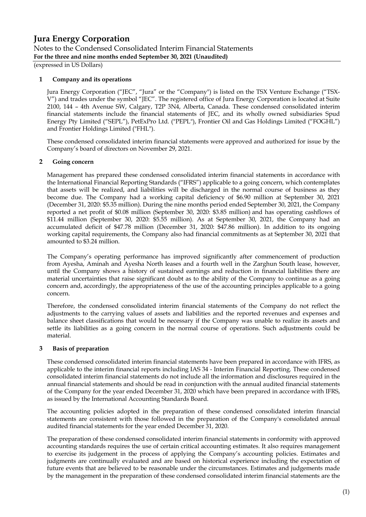Notes to the Condensed Consolidated Interim Financial Statements **For the three and nine months ended September 30, 2021 (Unaudited)**

(expressed in US Dollars)

#### **1 Company and its operations**

Jura Energy Corporation ("JEC", "Jura" or the "Company") is listed on the TSX Venture Exchange ("TSX-V") and trades under the symbol "JEC". The registered office of Jura Energy Corporation is located at Suite 2100, 144 – 4th Avenue SW, Calgary, T2P 3N4, Alberta, Canada. These condensed consolidated interim financial statements include the financial statements of JEC, and its wholly owned subsidiaries Spud Energy Pty Limited ("SEPL"), PetExPro Ltd. ("PEPL"), Frontier Oil and Gas Holdings Limited ("FOGHL") and Frontier Holdings Limited ("FHL").

These condensed consolidated interim financial statements were approved and authorized for issue by the Company's board of directors on November 29, 2021.

#### **2 Going concern**

Management has prepared these condensed consolidated interim financial statements in accordance with the International Financial Reporting Standards ("IFRS") applicable to a going concern, which contemplates that assets will be realized, and liabilities will be discharged in the normal course of business as they become due. The Company had a working capital deficiency of \$6.90 million at September 30, 2021 (December 31, 2020: \$5.35 million). During the nine months period ended September 30, 2021, the Company reported a net profit of \$0.08 million (September 30, 2020: \$3.85 million) and has operating cashflows of \$11.44 million (September 30, 2020: \$5.55 million). As at September 30, 2021, the Company had an accumulated deficit of \$47.78 million (December 31, 2020: \$47.86 million). In addition to its ongoing working capital requirements, the Company also had financial commitments as at September 30, 2021 that amounted to \$3.24 million.

The Company's operating performance has improved significantly after commencement of production from Ayesha, Aminah and Ayesha North leases and a fourth well in the Zarghun South lease, however, until the Company shows a history of sustained earnings and reduction in financial liabilities there are material uncertainties that raise significant doubt as to the ability of the Company to continue as a going concern and, accordingly, the appropriateness of the use of the accounting principles applicable to a going concern.

Therefore, the condensed consolidated interim financial statements of the Company do not reflect the adjustments to the carrying values of assets and liabilities and the reported revenues and expenses and balance sheet classifications that would be necessary if the Company was unable to realize its assets and settle its liabilities as a going concern in the normal course of operations. Such adjustments could be material.

#### **3 Basis of preparation**

These condensed consolidated interim financial statements have been prepared in accordance with IFRS, as applicable to the interim financial reports including IAS 34 - Interim Financial Reporting. These condensed consolidated interim financial statements do not include all the information and disclosures required in the annual financial statements and should be read in conjunction with the annual audited financial statements of the Company for the year ended December 31, 2020 which have been prepared in accordance with IFRS, as issued by the International Accounting Standards Board.

The accounting policies adopted in the preparation of these condensed consolidated interim financial statements are consistent with those followed in the preparation of the Company's consolidated annual audited financial statements for the year ended December 31, 2020.

The preparation of these condensed consolidated interim financial statements in conformity with approved accounting standards requires the use of certain critical accounting estimates. It also requires management to exercise its judgement in the process of applying the Company's accounting policies. Estimates and judgments are continually evaluated and are based on historical experience including the expectation of future events that are believed to be reasonable under the circumstances. Estimates and judgements made by the management in the preparation of these condensed consolidated interim financial statements are the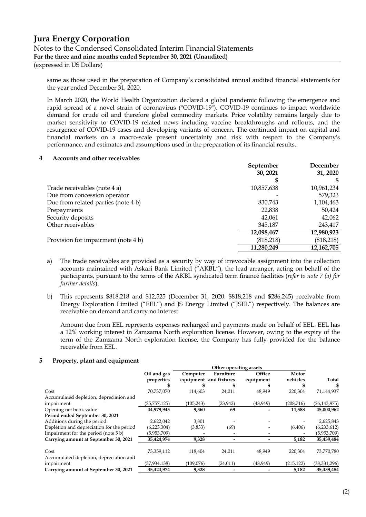#### **Jura Energy Corporation** Notes to the Condensed Consolidated Interim Financial Statements **For the three and nine months ended September 30, 2021 (Unaudited)**

(expressed in US Dollars)

same as those used in the preparation of Company's consolidated annual audited financial statements for the year ended December 31, 2020.

In March 2020, the World Health Organization declared a global pandemic following the emergence and rapid spread of a novel strain of coronavirus ("COVID-19"). COVID-19 continues to impact worldwide demand for crude oil and therefore global commodity markets. Price volatility remains largely due to market sensitivity to COVID-19 related news including vaccine breakthroughs and rollouts, and the resurgence of COVID-19 cases and developing variants of concern. The continued impact on capital and financial markets on a macro-scale present uncertainty and risk with respect to the Company's performance, and estimates and assumptions used in the preparation of its financial results.

#### **4 Accounts and other receivables**

|                                     | September  | December   |
|-------------------------------------|------------|------------|
|                                     | 30, 2021   | 31, 2020   |
|                                     | \$         |            |
| Trade receivables (note 4 a)        | 10,857,638 | 10,961,234 |
| Due from concession operator        |            | 579,323    |
| Due from related parties (note 4 b) | 830,743    | 1,104,463  |
| Prepayments                         | 22,838     | 50,424     |
| Security deposits                   | 42,061     | 42,062     |
| Other receivables                   | 345,187    | 243,417    |
|                                     | 12,098,467 | 12,980,923 |
| Provision for impairment (note 4 b) | (818,218)  | (818, 218) |
|                                     | 11,280,249 | 12,162,705 |

- a) The trade receivables are provided as a security by way of irrevocable assignment into the collection accounts maintained with Askari Bank Limited ("AKBL"), the lead arranger, acting on behalf of the participants, pursuant to the terms of the AKBL syndicated term finance facilities (*refer to note 7 (a) for further details*).
- b) This represents \$818,218 and \$12,525 (December 31, 2020: \$818,218 and \$286,245) receivable from Energy Exploration Limited ("EEL") and JS Energy Limited ("JSEL") respectively. The balances are receivable on demand and carry no interest.

Amount due from EEL represents expenses recharged and payments made on behalf of EEL. EEL has a 12% working interest in Zamzama North exploration license. However, owing to the expiry of the term of the Zamzama North exploration license, the Company has fully provided for the balance receivable from EEL.

#### **5 Property, plant and equipment**

|                                           | Other operating assets |            |                        |           |            |                |
|-------------------------------------------|------------------------|------------|------------------------|-----------|------------|----------------|
|                                           | Oil and gas            | Computer   | Furniture              | Office    | Motor      |                |
|                                           | properties             |            | equipment and fixtures | equipment | vehicles   | Total          |
|                                           |                        |            |                        |           |            | S              |
| Cost                                      | 70.737.070             | 114,603    | 24,011                 | 48,949    | 220,304    | 71,144,937     |
| Accumulated depletion, depreciation and   |                        |            |                        |           |            |                |
| impairment                                | (25, 757, 125)         | (105, 243) | (23, 942)              | (48, 949) | (208, 716) | (26, 143, 975) |
| Opening net book value                    | 44,979,945             | 9,360      | 69                     |           | 11,588     | 45,000,962     |
| Period ended September 30, 2021           |                        |            |                        |           |            |                |
| Additions during the period               | 2,622,042              | 3,801      |                        |           |            | 2,625,843      |
| Depletion and depreciation for the period | (6,223,304)            | (3,833)    | (69)                   |           | (6,406)    | (6,233,612)    |
| Impairment for the period (note 5 b)      | (5,953,709)            |            |                        |           |            | (5,953,709)    |
| Carrying amount at September 30, 2021     | 35,424,974             | 9,328      |                        |           | 5,182      | 35,439,484     |
| Cost                                      | 73,359,112             | 118,404    | 24,011                 | 48,949    | 220,304    | 73,770,780     |
| Accumulated depletion, depreciation and   |                        |            |                        |           |            |                |
| impairment                                | (37, 934, 138)         | (109.076)  | (24, 011)              | (48, 949) | (215, 122) | (38, 331, 296) |
| Carrying amount at September 30, 2021     | 35,424,974             | 9,328      |                        |           | 5,182      | 35,439,484     |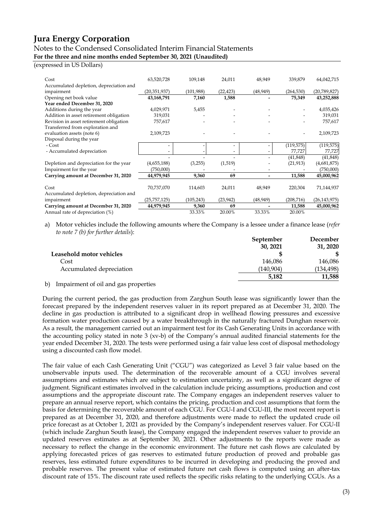### Notes to the Condensed Consolidated Interim Financial Statements

**For the three and nine months ended September 30, 2021 (Unaudited)**

#### (expressed in US Dollars)

| Cost                                    | 63,520,728     | 109,148    | 24,011                   | 48,949    | 339,879    | 64,042,715     |
|-----------------------------------------|----------------|------------|--------------------------|-----------|------------|----------------|
| Accumulated depletion, depreciation and |                |            |                          |           |            |                |
| impairment                              | (20,351,937)   | (101,988)  | (22, 423)                | (48, 949) | (264, 530) | (20,789,827)   |
| Opening net book value                  | 43,168,791     | 7,160      | 1,588                    |           | 75,349     | 43,252,888     |
| Year ended December 31, 2020            |                |            |                          |           |            |                |
| Additions during the year               | 4,029,971      | 5,455      |                          |           |            | 4,035,426      |
| Addition in asset retirement obligation | 319,031        |            |                          |           |            | 319,031        |
| Revision in asset retirement obligation | 757,617        |            |                          |           |            | 757,617        |
| Transferred from exploration and        |                |            |                          |           |            |                |
| evaluation assets (note 6)              | 2,109,723      |            |                          |           |            | 2,109,723      |
| Disposal during the year                |                |            |                          |           |            |                |
| - Cost                                  |                |            | $\overline{\phantom{a}}$ |           | (119, 575) | (119, 575)     |
| - Accumulated depreciation              |                |            | $\overline{\phantom{a}}$ |           | 77,727     | 77,727         |
|                                         |                |            |                          |           | (41, 848)  | (41, 848)      |
| Depletion and depreciation for the year | (4,655,188)    | (3,255)    | (1,519)                  |           | (21, 913)  | (4,681,875)    |
| Impairment for the year                 | (750,000)      |            |                          |           |            | (750,000)      |
| Carrying amount at December 31, 2020    | 44,979,945     | 9,360      | 69                       | -         | 11,588     | 45,000,962     |
|                                         |                |            |                          |           |            |                |
| Cost                                    | 70,737,070     | 114,603    | 24,011                   | 48,949    | 220,304    | 71,144,937     |
| Accumulated depletion, depreciation and |                |            |                          |           |            |                |
| impairment                              | (25, 757, 125) | (105, 243) | (23, 942)                | (48, 949) | (208, 716) | (26, 143, 975) |
| Carrying amount at December 31, 2020    | 44,979,945     | 9,360      | 69                       |           | 11,588     | 45,000,962     |
| Annual rate of depreciation (%)         |                | 33.33%     | 20.00%                   | 33.33%    | 20.00%     |                |

a) Motor vehicles include the following amounts where the Company is a lessee under a finance lease (*refer to note 7 (b) for further details*):

|                                    | September  | December   |
|------------------------------------|------------|------------|
|                                    | 30, 2021   | 31, 2020   |
| Leasehold motor vehicles           |            |            |
| Cost                               | 146.086    | 146,086    |
| Accumulated depreciation           | (140, 904) | (134, 498) |
|                                    | 5,182      | 11,588     |
| $\sim$ $\sim$ $\sim$ $\sim$ $\sim$ |            |            |

b) Impairment of oil and gas properties

During the current period, the gas production from Zarghun South lease was significantly lower than the forecast prepared by the independent reserves valuer in its report prepared as at December 31, 2020. The decline in gas production is attributed to a significant drop in wellhead flowing pressures and excessive formation water production caused by a water breakthrough in the naturally fractured Dunghan reservoir. As a result, the management carried out an impairment test for its Cash Generating Units in accordance with the accounting policy stated in note 3 (xv-b) of the Company's annual audited financial statements for the year ended December 31, 2020. The tests were performed using a fair value less cost of disposal methodology using a discounted cash flow model.

The fair value of each Cash Generating Unit ("CGU") was categorized as Level 3 fair value based on the unobservable inputs used. The determination of the recoverable amount of a CGU involves several assumptions and estimates which are subject to estimation uncertainty, as well as a significant degree of judgment. Significant estimates involved in the calculation include pricing assumptions, production and cost assumptions and the appropriate discount rate. The Company engages an independent reserves valuer to prepare an annual reserve report, which contains the pricing, production and cost assumptions that form the basis for determining the recoverable amount of each CGU. For CGU-I and CGU-III, the most recent report is prepared as at December 31, 2020, and therefore adjustments were made to reflect the updated crude oil price forecast as at October 1, 2021 as provided by the Company's independent reserves valuer. For CGU-II (which include Zarghun South lease), the Company engaged the independent reserves valuer to provide an updated reserves estimates as at September 30, 2021. Other adjustments to the reports were made as necessary to reflect the change in the economic environment. The future net cash flows are calculated by applying forecasted prices of gas reserves to estimated future production of proved and probable gas reserves, less estimated future expenditures to be incurred in developing and producing the proved and probable reserves. The present value of estimated future net cash flows is computed using an after-tax discount rate of 15%. The discount rate used reflects the specific risks relating to the underlying CGUs. As a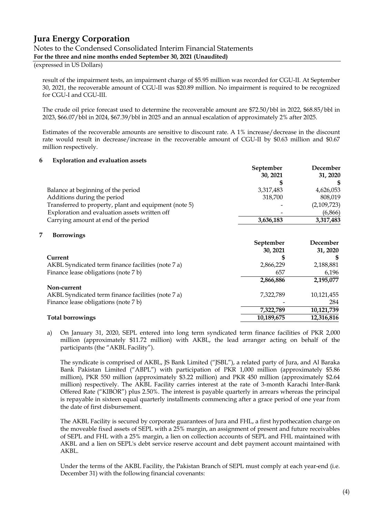#### Notes to the Condensed Consolidated Interim Financial Statements **For the three and nine months ended September 30, 2021 (Unaudited)**

(expressed in US Dollars)

result of the impairment tests, an impairment charge of \$5.95 million was recorded for CGU-II. At September 30, 2021, the recoverable amount of CGU-II was \$20.89 million. No impairment is required to be recognized for CGU-I and CGU-III.

The crude oil price forecast used to determine the recoverable amount are \$72.50/bbl in 2022, \$68.85/bbl in 2023, \$66.07/bbl in 2024, \$67.39/bbl in 2025 and an annual escalation of approximately 2% after 2025.

Estimates of the recoverable amounts are sensitive to discount rate. A 1% increase/decrease in the discount rate would result in decrease/increase in the recoverable amount of CGU-II by \$0.63 million and \$0.67 million respectively.

#### **6 Exploration and evaluation assets**

|                                                       | September | December    |  |
|-------------------------------------------------------|-----------|-------------|--|
|                                                       | 30, 2021  | 31, 2020    |  |
|                                                       |           |             |  |
| Balance at beginning of the period                    | 3,317,483 | 4,626,053   |  |
| Additions during the period                           | 318,700   | 808,019     |  |
| Transferred to property, plant and equipment (note 5) |           | (2,109,723) |  |
| Exploration and evaluation assets written off         |           | (6,866)     |  |
| Carrying amount at end of the period                  | 3,636,183 | 3,317,483   |  |

#### **7 Borrowings**

|                                                    | September<br>30, 2021 | December<br>31, 2020 |
|----------------------------------------------------|-----------------------|----------------------|
| Current                                            |                       |                      |
| AKBL Syndicated term finance facilities (note 7 a) | 2,866,229             | 2,188,881            |
| Finance lease obligations (note 7 b)               | 657                   | 6,196                |
|                                                    | 2,866,886             | 2,195,077            |
| Non-current                                        |                       |                      |
| AKBL Syndicated term finance facilities (note 7 a) | 7,322,789             | 10,121,455           |
| Finance lease obligations (note 7 b)               |                       | 284                  |
|                                                    | 7,322,789             | 10,121,739           |
| <b>Total borrowings</b>                            | 10,189,675            | 12,316,816           |

a) On January 31, 2020, SEPL entered into long term syndicated term finance facilities of PKR 2,000 million (approximately \$11.72 million) with AKBL, the lead arranger acting on behalf of the participants (the "AKBL Facility").

The syndicate is comprised of AKBL, JS Bank Limited ("JSBL"), a related party of Jura, and Al Baraka Bank Pakistan Limited ("ABPL") with participation of PKR 1,000 million (approximately \$5.86 million), PKR 550 million (approximately \$3.22 million) and PKR 450 million (approximately \$2.64 million) respectively. The AKBL Facility carries interest at the rate of 3-month Karachi Inter-Bank Offered Rate ("KIBOR") plus 2.50%. The interest is payable quarterly in arrears whereas the principal is repayable in sixteen equal quarterly installments commencing after a grace period of one year from the date of first disbursement.

The AKBL Facility is secured by corporate guarantees of Jura and FHL, a first hypothecation charge on the moveable fixed assets of SEPL with a 25% margin, an assignment of present and future receivables of SEPL and FHL with a 25% margin, a lien on collection accounts of SEPL and FHL maintained with AKBL and a lien on SEPL's debt service reserve account and debt payment account maintained with AKBL.

Under the terms of the AKBL Facility, the Pakistan Branch of SEPL must comply at each year-end (i.e. December 31) with the following financial covenants: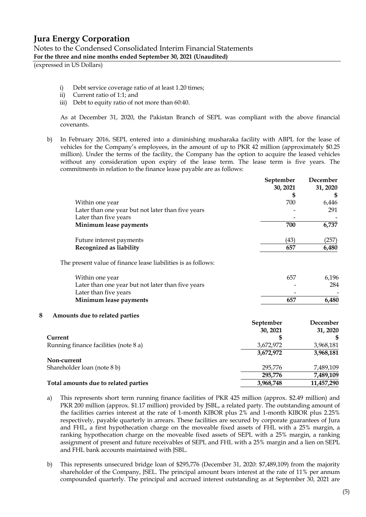| Notes to the Condensed Consolidated Interim Financial Statements   |  |
|--------------------------------------------------------------------|--|
| For the three and nine months ended September 30, 2021 (Unaudited) |  |

(expressed in US Dollars)

- i) Debt service coverage ratio of at least 1.20 times;
- ii) Current ratio of 1:1; and
- iii) Debt to equity ratio of not more than 60:40.

As at December 31, 2020, the Pakistan Branch of SEPL was compliant with the above financial covenants.

b) In February 2016, SEPL entered into a diminishing musharaka facility with ABPL for the lease of vehicles for the Company's employees, in the amount of up to PKR 42 million (approximately \$0.25 million). Under the terms of the facility, the Company has the option to acquire the leased vehicles without any consideration upon expiry of the lease term. The lease term is five years. The commitments in relation to the finance lease payable are as follows:

|                                                                            | September<br>30, 2021 | December<br>31, 2020 |
|----------------------------------------------------------------------------|-----------------------|----------------------|
|                                                                            | \$                    | \$                   |
| Within one year                                                            | 700                   | 6,446                |
| Later than one year but not later than five years                          |                       | 291                  |
| Later than five years                                                      |                       |                      |
| Minimum lease payments                                                     | 700                   | 6,737                |
| Future interest payments                                                   | (43)                  | (257)                |
| Recognized as liability                                                    | 657                   | 6,480                |
| The present value of finance lease liabilities is as follows:              |                       |                      |
| Within one year                                                            | 657                   | 6,196                |
| Later than one year but not later than five years<br>Later than five years |                       | 284                  |
| Minimum lease payments                                                     | 657                   | 6,480                |
| 8<br>Amounts due to related parties                                        |                       |                      |
|                                                                            | September             | December             |
|                                                                            | 30, 2021              | 31, 2020             |
| Current                                                                    | S                     | \$                   |
| Running finance facilities (note 8 a)                                      | 3,672,972             | 3,968,181            |
|                                                                            | 3,672,972             | 3,968,181            |
| Non-current                                                                |                       |                      |
| Shareholder loan (note 8 b)                                                | 295,776               | 7,489,109            |
|                                                                            | 295,776               | 7,489,109            |
| Total amounts due to related parties                                       | 3,968,748             | 11,457,290           |

- a) This represents short term running finance facilities of PKR 425 million (approx. \$2.49 million) and PKR 200 million (approx. \$1.17 million) provided by JSBL, a related party. The outstanding amount of the facilities carries interest at the rate of 1-month KIBOR plus 2% and 1-month KIBOR plus 2.25% respectively, payable quarterly in arrears. These facilities are secured by corporate guarantees of Jura and FHL, a first hypothecation charge on the moveable fixed assets of FHL with a 25% margin, a ranking hypothecation charge on the moveable fixed assets of SEPL with a 25% margin, a ranking assignment of present and future receivables of SEPL and FHL with a 25% margin and a lien on SEPL and FHL bank accounts maintained with JSBL.
- b) This represents unsecured bridge loan of \$295,776 (December 31, 2020: \$7,489,109) from the majority shareholder of the Company, JSEL. The principal amount bears interest at the rate of 11% per annum compounded quarterly. The principal and accrued interest outstanding as at September 30, 2021 are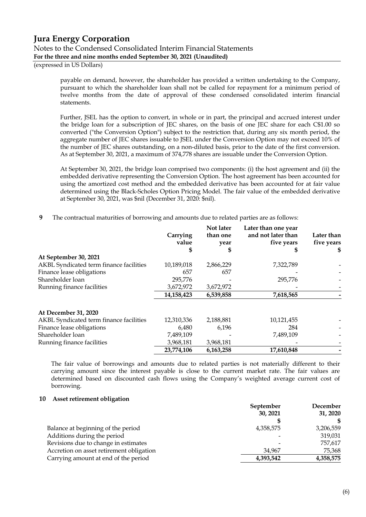#### **Jura Energy Corporation** Notes to the Condensed Consolidated Interim Financial Statements **For the three and nine months ended September 30, 2021 (Unaudited)**

(expressed in US Dollars)

payable on demand, however, the shareholder has provided a written undertaking to the Company, pursuant to which the shareholder loan shall not be called for repayment for a minimum period of twelve months from the date of approval of these condensed consolidated interim financial statements.

Further, JSEL has the option to convert, in whole or in part, the principal and accrued interest under the bridge loan for a subscription of JEC shares, on the basis of one JEC share for each C\$1.00 so converted ("the Conversion Option") subject to the restriction that, during any six month period, the aggregate number of JEC shares issuable to JSEL under the Conversion Option may not exceed 10% of the number of JEC shares outstanding, on a non-diluted basis, prior to the date of the first conversion. As at September 30, 2021, a maximum of 374,778 shares are issuable under the Conversion Option.

At September 30, 2021, the bridge loan comprised two components: (i) the host agreement and (ii) the embedded derivative representing the Conversion Option. The host agreement has been accounted for using the amortized cost method and the embedded derivative has been accounted for at fair value determined using the Black-Scholes Option Pricing Model. The fair value of the embedded derivative at September 30, 2021, was \$nil (December 31, 2020: \$nil).

**9** The contractual maturities of borrowing and amounts due to related parties are as follows:

|                                         | Carrying<br>value | Not later<br>than one<br>year | Later than one year<br>and not later than<br>five years | Later than<br>five years<br>\$ |
|-----------------------------------------|-------------------|-------------------------------|---------------------------------------------------------|--------------------------------|
| At September 30, 2021                   |                   |                               |                                                         |                                |
| AKBL Syndicated term finance facilities | 10,189,018        | 2,866,229                     | 7,322,789                                               |                                |
| Finance lease obligations               | 657               | 657                           |                                                         |                                |
| Shareholder loan                        | 295,776           |                               | 295,776                                                 |                                |
| Running finance facilities              | 3,672,972         | 3,672,972                     |                                                         |                                |
|                                         | 14,158,423        | 6,539,858                     | 7,618,565                                               |                                |
| At December 31, 2020                    |                   |                               |                                                         |                                |
| AKBL Syndicated term finance facilities | 12,310,336        | 2,188,881                     | 10,121,455                                              |                                |
| Finance lease obligations               | 6,480             | 6,196                         | 284                                                     |                                |
| Shareholder loan                        | 7,489,109         |                               | 7,489,109                                               |                                |
| Running finance facilities              | 3,968,181         | 3,968,181                     |                                                         |                                |
|                                         | 23,774,106        | 6,163,258                     | 17,610,848                                              |                                |

The fair value of borrowings and amounts due to related parties is not materially different to their carrying amount since the interest payable is close to the current market rate. The fair values are determined based on discounted cash flows using the Company's weighted average current cost of borrowing.

#### **10 Asset retirement obligation**

|                                          | September | December  |  |
|------------------------------------------|-----------|-----------|--|
|                                          | 30, 2021  | 31, 2020  |  |
|                                          |           | \$        |  |
| Balance at beginning of the period       | 4,358,575 | 3,206,559 |  |
| Additions during the period              |           | 319,031   |  |
| Revisions due to change in estimates     |           | 757,617   |  |
| Accretion on asset retirement obligation | 34.967    | 75,368    |  |
| Carrying amount at end of the period     | 4,393,542 | 4,358,575 |  |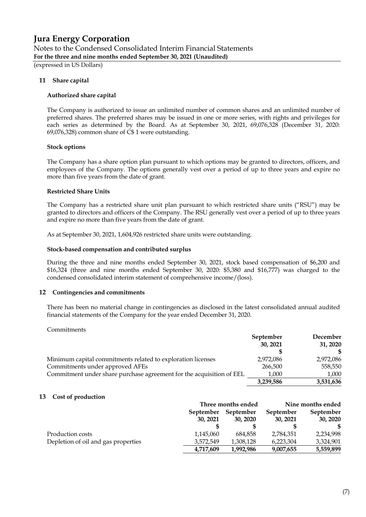Notes to the Condensed Consolidated Interim Financial Statements **For the three and nine months ended September 30, 2021 (Unaudited)**

(expressed in US Dollars)

#### **11 Share capital**

#### **Authorized share capital**

The Company is authorized to issue an unlimited number of common shares and an unlimited number of preferred shares. The preferred shares may be issued in one or more series, with rights and privileges for each series as determined by the Board. As at September 30, 2021, 69,076,328 (December 31, 2020: 69,076,328) common share of C\$ 1 were outstanding.

#### **Stock options**

The Company has a share option plan pursuant to which options may be granted to directors, officers, and employees of the Company. The options generally vest over a period of up to three years and expire no more than five years from the date of grant.

#### **Restricted Share Units**

The Company has a restricted share unit plan pursuant to which restricted share units ("RSU") may be granted to directors and officers of the Company. The RSU generally vest over a period of up to three years and expire no more than five years from the date of grant.

As at September 30, 2021, 1,604,926 restricted share units were outstanding.

#### **Stock-based compensation and contributed surplus**

During the three and nine months ended September 30, 2021, stock based compensation of \$6,200 and \$16,324 (three and nine months ended September 30, 2020: \$5,380 and \$16,777) was charged to the condensed consolidated interim statement of comprehensive income/(loss).

#### **12 Contingencies and commitments**

There has been no material change in contingencies as disclosed in the latest consolidated annual audited financial statements of the Company for the year ended December 31, 2020.

#### Commitments

|                                                                      | September<br>30, 2021 | December<br>31, 2020 |
|----------------------------------------------------------------------|-----------------------|----------------------|
|                                                                      |                       |                      |
| Minimum capital commitments related to exploration licenses          | 2,972,086             | 2,972,086            |
| Commitments under approved AFEs                                      | 266,500               | 558,550              |
| Commitment under share purchase agreement for the acquisition of EEL | 1,000                 | 1,000                |
|                                                                      | 3,239,586             | 3,531,636            |

#### **13 Cost of production**

|                                     |                       | Three months ended    | Nine months ended     |                       |  |
|-------------------------------------|-----------------------|-----------------------|-----------------------|-----------------------|--|
|                                     | September<br>30, 2021 | September<br>30, 2020 | September<br>30, 2021 | September<br>30, 2020 |  |
|                                     |                       |                       |                       |                       |  |
| Production costs                    | 1,145,060             | 684.858               | 2,784,351             | 2,234,998             |  |
| Depletion of oil and gas properties | 3,572,549             | 1,308,128             | 6,223,304             | 3,324,901             |  |
|                                     | 4,717,609             | 1,992,986             | 9,007,655             | 5,559,899             |  |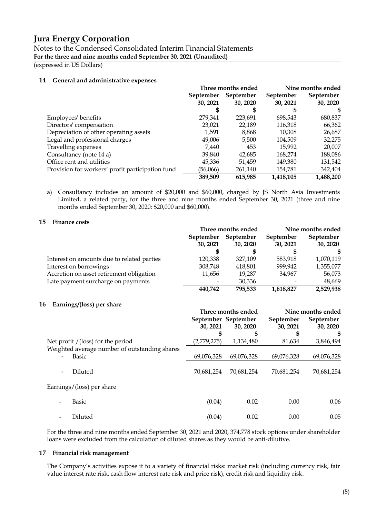Notes to the Condensed Consolidated Interim Financial Statements **For the three and nine months ended September 30, 2021 (Unaudited)**

(expressed in US Dollars)

#### **14 General and administrative expenses**

|                                                  |           | Three months ended | Nine months ended |           |  |
|--------------------------------------------------|-----------|--------------------|-------------------|-----------|--|
|                                                  | September | September          | September         | September |  |
|                                                  | 30, 2021  | 30, 2020           | 30, 2021          | 30, 2020  |  |
|                                                  | \$        | S                  |                   | S.        |  |
| Employees' benefits                              | 279,341   | 223,691            | 698,543           | 680,837   |  |
| Directors' compensation                          | 23,021    | 22,189             | 116,318           | 66,362    |  |
| Depreciation of other operating assets           | 1,591     | 8,868              | 10,308            | 26,687    |  |
| Legal and professional charges                   | 49,006    | 5,500              | 104,509           | 32,275    |  |
| Travelling expenses                              | 7.440     | 453                | 15,992            | 20,007    |  |
| Consultancy (note 14 a)                          | 39,840    | 42,685             | 168,274           | 188,086   |  |
| Office rent and utilities                        | 45,336    | 51.459             | 149,380           | 131,542   |  |
| Provision for workers' profit participation fund | (56,066)  | 261,140            | 154,781           | 342,404   |  |
|                                                  | 389,509   | 615,985            | 1,418,105         | 1,488,200 |  |

a) Consultancy includes an amount of \$20,000 and \$60,000, charged by JS North Asia Investments Limited, a related party, for the three and nine months ended September 30, 2021 (three and nine months ended September 30, 2020: \$20,000 and \$60,000).

#### **15 Finance costs**

|                                            |                       | Three months ended    |                       | Nine months ended     |
|--------------------------------------------|-----------------------|-----------------------|-----------------------|-----------------------|
|                                            | September<br>30, 2021 | September<br>30, 2020 | September<br>30, 2021 | September<br>30, 2020 |
|                                            |                       |                       |                       |                       |
| Interest on amounts due to related parties | 120.338               | 327.109               | 583,918               | 1,070,119             |
| Interest on borrowings                     | 308,748               | 418,801               | 999.942               | 1,355,077             |
| Accretion on asset retirement obligation   | 11,656                | 19.287                | 34.967                | 56,073                |
| Late payment surcharge on payments         |                       | 30,336                |                       | 48,669                |
|                                            | 440.742               | 795,533               | 1,618,827             | 2,529,938             |

#### **16 Earnings/(loss) per share**

|                                               |                     | Three months ended | Nine months ended |            |  |
|-----------------------------------------------|---------------------|--------------------|-------------------|------------|--|
|                                               | September September |                    | September         | September  |  |
|                                               | 30, 2021            | 30, 2020           | 30, 2021          | 30, 2020   |  |
|                                               | S                   | S                  | S                 | S          |  |
| Net profit $/(loss)$ for the period           | (2,779,275)         | 1,134,480          | 81,634            | 3,846,494  |  |
| Weighted average number of outstanding shares |                     |                    |                   |            |  |
| <b>Basic</b>                                  | 69,076,328          | 69,076,328         | 69,076,328        | 69,076,328 |  |
| Diluted<br>$\overline{\phantom{a}}$           | 70,681,254          | 70,681,254         | 70,681,254        | 70,681,254 |  |
| Earnings/(loss) per share                     |                     |                    |                   |            |  |
| Basic                                         | (0.04)              | 0.02               | 0.00              | 0.06       |  |
| Diluted                                       | (0.04)              | 0.02               | 0.00              | 0.05       |  |

For the three and nine months ended September 30, 2021 and 2020, 374,778 stock options under shareholder loans were excluded from the calculation of diluted shares as they would be anti-dilutive.

#### **17 Financial risk management**

The Company's activities expose it to a variety of financial risks: market risk (including currency risk, fair value interest rate risk, cash flow interest rate risk and price risk), credit risk and liquidity risk.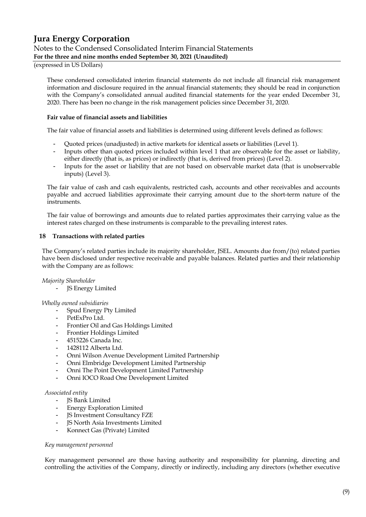#### **Jura Energy Corporation** Notes to the Condensed Consolidated Interim Financial Statements **For the three and nine months ended September 30, 2021 (Unaudited)**

#### (expressed in US Dollars)

These condensed consolidated interim financial statements do not include all financial risk management information and disclosure required in the annual financial statements; they should be read in conjunction with the Company's consolidated annual audited financial statements for the year ended December 31, 2020. There has been no change in the risk management policies since December 31, 2020.

#### **Fair value of financial assets and liabilities**

The fair value of financial assets and liabilities is determined using different levels defined as follows:

- Quoted prices (unadjusted) in active markets for identical assets or liabilities (Level 1).
- Inputs other than quoted prices included within level 1 that are observable for the asset or liability, either directly (that is, as prices) or indirectly (that is, derived from prices) (Level 2).
- Inputs for the asset or liability that are not based on observable market data (that is unobservable inputs) (Level 3).

The fair value of cash and cash equivalents, restricted cash, accounts and other receivables and accounts payable and accrued liabilities approximate their carrying amount due to the short-term nature of the instruments.

The fair value of borrowings and amounts due to related parties approximates their carrying value as the interest rates charged on these instruments is comparable to the prevailing interest rates.

#### **18 Transactions with related parties**

The Company's related parties include its majority shareholder, JSEL. Amounts due from/(to) related parties have been disclosed under respective receivable and payable balances. Related parties and their relationship with the Company are as follows:

#### *Majority Shareholder*

JS Energy Limited

#### *Wholly owned subsidiaries*

- Spud Energy Pty Limited
- PetExPro Ltd.
- Frontier Oil and Gas Holdings Limited
- Frontier Holdings Limited
- 4515226 Canada Inc.
- 1428112 Alberta Ltd.
- Onni Wilson Avenue Development Limited Partnership
- Onni Elmbridge Development Limited Partnership
- Onni The Point Development Limited Partnership
- Onni IOCO Road One Development Limited

#### *Associated entity*

- JS Bank Limited
- Energy Exploration Limited
- JS Investment Consultancy FZE
- JS North Asia Investments Limited
- Konnect Gas (Private) Limited

#### *Key management personnel*

Key management personnel are those having authority and responsibility for planning, directing and controlling the activities of the Company, directly or indirectly, including any directors (whether executive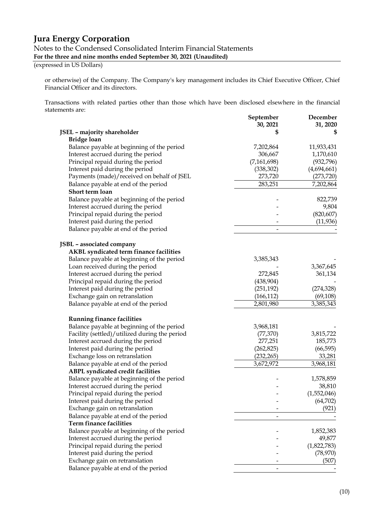Notes to the Condensed Consolidated Interim Financial Statements

**For the three and nine months ended September 30, 2021 (Unaudited)**

(expressed in US Dollars)

or otherwise) of the Company. The Company's key management includes its Chief Executive Officer, Chief Financial Officer and its directors.

Transactions with related parties other than those which have been disclosed elsewhere in the financial statements are:

|                                               | September<br>30, 2021 | December<br>31, 2020 |
|-----------------------------------------------|-----------------------|----------------------|
| JSEL - majority shareholder                   |                       | \$                   |
| <b>Bridge loan</b>                            |                       |                      |
| Balance payable at beginning of the period    | 7,202,864             | 11,933,431           |
| Interest accrued during the period            | 306,667               | 1,170,610            |
| Principal repaid during the period            | (7, 161, 698)         | (932, 796)           |
| Interest paid during the period               | (338, 302)            | (4,694,661)          |
| Payments (made)/received on behalf of JSEL    | 273,720               | (273, 720)           |
| Balance payable at end of the period          | 283,251               | 7,202,864            |
| Short term loan                               |                       |                      |
| Balance payable at beginning of the period    |                       | 822,739              |
| Interest accrued during the period            |                       | 9,804                |
| Principal repaid during the period            |                       | (820, 607)           |
| Interest paid during the period               |                       | (11,936)             |
| Balance payable at end of the period          |                       |                      |
| JSBL - associated company                     |                       |                      |
| AKBL syndicated term finance facilities       |                       |                      |
| Balance payable at beginning of the period    | 3,385,343             |                      |
| Loan received during the period               |                       | 3,367,645            |
| Interest accrued during the period            | 272,845               | 361,134              |
| Principal repaid during the period            | (438,904)             |                      |
| Interest paid during the period               | (251, 192)            | (274, 328)           |
| Exchange gain on retranslation                | (166, 112)            | (69, 108)            |
| Balance payable at end of the period          | 2,801,980             | 3,385,343            |
| <b>Running finance facilities</b>             |                       |                      |
| Balance payable at beginning of the period    | 3,968,181             |                      |
| Facility (settled)/utilized during the period | (77, 370)             | 3,815,722            |
| Interest accrued during the period            | 277,251               | 185,773              |
| Interest paid during the period               | (262, 825)            | (66, 595)            |
| Exchange loss on retranslation                | (232, 265)            | 33,281               |
| Balance payable at end of the period          | 3,672,972             | 3,968,181            |
| <b>ABPL syndicated credit facilities</b>      |                       |                      |
| Balance payable at beginning of the period    |                       | 1,578,859            |
| Interest accrued during the period            |                       | 38,810               |
| Principal repaid during the period            |                       | (1,552,046)          |
| Interest paid during the period               |                       | (64, 702)            |
| Exchange gain on retranslation                |                       | (921)                |
| Balance payable at end of the period          |                       |                      |
| <b>Term finance facilities</b>                |                       |                      |
| Balance payable at beginning of the period    |                       | 1,852,383            |
| Interest accrued during the period            |                       | 49,877               |
| Principal repaid during the period            |                       | (1,822,783)          |
| Interest paid during the period               |                       | (78, 970)            |
| Exchange gain on retranslation                |                       | (507)                |
| Balance payable at end of the period          |                       |                      |
|                                               |                       |                      |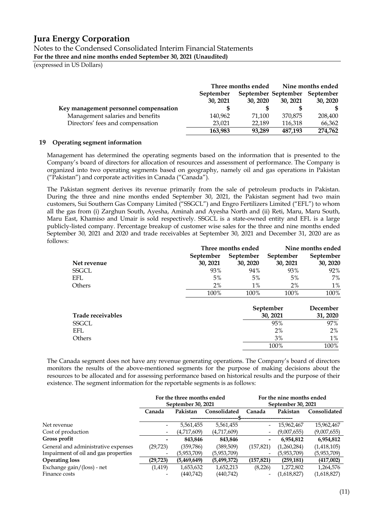Notes to the Condensed Consolidated Interim Financial Statements **For the three and nine months ended September 30, 2021 (Unaudited)**

(expressed in US Dollars)

|                                       | Three months ended |          | Nine months ended             |          |  |
|---------------------------------------|--------------------|----------|-------------------------------|----------|--|
|                                       | September          |          | September September September |          |  |
|                                       | 30, 2021           | 30, 2020 | 30, 2021                      | 30, 2020 |  |
| Key management personnel compensation |                    |          |                               |          |  |
| Management salaries and benefits      | 140,962            | 71.100   | 370,875                       | 208,400  |  |
| Directors' fees and compensation      | 23,021             | 22,189   | 116,318                       | 66,362   |  |
|                                       | 163,983            | 93.289   | 487,193                       | 274,762  |  |

#### **19 Operating segment information**

Management has determined the operating segments based on the information that is presented to the Company's board of directors for allocation of resources and assessment of performance. The Company is organized into two operating segments based on geography, namely oil and gas operations in Pakistan ("Pakistan") and corporate activities in Canada ("Canada").

The Pakistan segment derives its revenue primarily from the sale of petroleum products in Pakistan. During the three and nine months ended September 30, 2021, the Pakistan segment had two main customers, Sui Southern Gas Company Limited ("SSGCL") and Engro Fertilizers Limited ("EFL") to whom all the gas from (i) Zarghun South, Ayesha, Aminah and Ayesha North and (ii) Reti, Maru, Maru South, Maru East, Khamiso and Umair is sold respectively. SSGCL is a state-owned entity and EFL is a large publicly-listed company. Percentage breakup of customer wise sales for the three and nine months ended September 30, 2021 and 2020 and trade receivables at September 30, 2021 and December 31, 2020 are as follows:

|                     | Three months ended | Nine months ended |                       |                     |
|---------------------|--------------------|-------------------|-----------------------|---------------------|
|                     | September          | September         | September             | September           |
| Net revenue         | 30, 2021           | 30, 2020          | 30, 2021              | 30, 2020            |
| SSGCL               | 93%                | 94%               | 93%                   | 92%                 |
| EFL.                | 5%                 | 5%                | 5%                    | 7%                  |
| Others              | 2%                 | $1\%$             | 2%                    | $1\%$               |
|                     | 100%               | 100%              | 100%                  | 100%                |
| Tando accessorativo |                    |                   | September<br>20, 2021 | December<br>21.2020 |

| Trade receivables | 30, 2021 | 31, 2020 |
|-------------------|----------|----------|
| SSGCL             | 95%      | 97%      |
| EFL               | 2%       | $2\%$    |
| Others            | 3%       | $1\%$    |
|                   | 100%     | 100%     |

The Canada segment does not have any revenue generating operations. The Company's board of directors monitors the results of the above-mentioned segments for the purpose of making decisions about the resources to be allocated and for assessing performance based on historical results and the purpose of their existence. The segment information for the reportable segments is as follows:

|                                      | For the three months ended |                    | For the nine months ended |                          |             |              |
|--------------------------------------|----------------------------|--------------------|---------------------------|--------------------------|-------------|--------------|
|                                      |                            | September 30, 2021 |                           | September 30, 2021       |             |              |
|                                      | Canada                     | Pakistan           | Consolidated              | Canada                   | Pakistan    | Consolidated |
|                                      |                            |                    |                           |                          |             |              |
| Net revenue                          |                            | 5,561,455          | 5,561,455                 |                          | 15,962,467  | 15,962,467   |
| Cost of production                   |                            | (4,717,609)        | (4,717,609)               | $\overline{\phantom{a}}$ | (9,007,655) | (9,007,655)  |
| Gross profit                         |                            | 843,846            | 843,846                   | -                        | 6,954,812   | 6,954,812    |
| General and administrative expenses  | (29, 723)                  | (359,786)          | (389,509)                 | (157, 821)               | (1,260,284) | (1,418,105)  |
| Impairment of oil and gas properties |                            | (5,953,709)        | (5,953,709)               |                          | (5,953,709) | (5,953,709)  |
| <b>Operating loss</b>                | (29, 723)                  | (5,469,649)        | (5,499,372)               | (157, 821)               | (259, 181)  | (417,002)    |
| Exchange gain/(loss) - net           | (1,419)                    | 1,653,632          | 1,652,213                 | (8,226)                  | 1,272,802   | 1,264,576    |
| Finance costs                        |                            | (440,742)          | (440,742)                 |                          | (1,618,827) | (1,618,827)  |